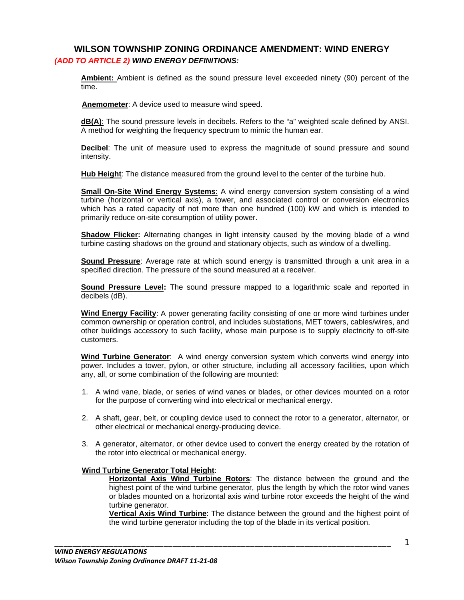# **WILSON TOWNSHIP ZONING ORDINANCE AMENDMENT: WIND ENERGY**  *(ADD TO ARTICLE 2) WIND ENERGY DEFINITIONS:*

**Ambient:** Ambient is defined as the sound pressure level exceeded ninety (90) percent of the time.

**Anemometer**: A device used to measure wind speed.

**dB(A)**: The sound pressure levels in decibels. Refers to the "a" weighted scale defined by ANSI. A method for weighting the frequency spectrum to mimic the human ear.

**Decibel**: The unit of measure used to express the magnitude of sound pressure and sound intensity.

**Hub Height**: The distance measured from the ground level to the center of the turbine hub.

**Small On-Site Wind Energy Systems**: A wind energy conversion system consisting of a wind turbine (horizontal or vertical axis), a tower, and associated control or conversion electronics which has a rated capacity of not more than one hundred (100) kW and which is intended to primarily reduce on-site consumption of utility power.

**Shadow Flicker:** Alternating changes in light intensity caused by the moving blade of a wind turbine casting shadows on the ground and stationary objects, such as window of a dwelling.

**Sound Pressure**: Average rate at which sound energy is transmitted through a unit area in a specified direction. The pressure of the sound measured at a receiver.

**Sound Pressure Level:** The sound pressure mapped to a logarithmic scale and reported in decibels (dB).

**Wind Energy Facility**: A power generating facility consisting of one or more wind turbines under common ownership or operation control, and includes substations, MET towers, cables/wires, and other buildings accessory to such facility, whose main purpose is to supply electricity to off-site customers.

**Wind Turbine Generator**: A wind energy conversion system which converts wind energy into power. Includes a tower, pylon, or other structure, including all accessory facilities, upon which any, all, or some combination of the following are mounted:

- 1. A wind vane, blade, or series of wind vanes or blades, or other devices mounted on a rotor for the purpose of converting wind into electrical or mechanical energy.
- 2. A shaft, gear, belt, or coupling device used to connect the rotor to a generator, alternator, or other electrical or mechanical energy-producing device.
- 3. A generator, alternator, or other device used to convert the energy created by the rotation of the rotor into electrical or mechanical energy.

\_\_\_\_\_\_\_\_\_\_\_\_\_\_\_\_\_\_\_\_\_\_\_\_\_\_\_\_\_\_\_\_\_\_\_\_\_\_\_\_\_\_\_\_\_\_\_\_\_\_\_\_\_\_\_\_\_\_\_\_\_\_\_\_\_\_\_\_\_\_\_\_\_\_

#### **Wind Turbine Generator Total Height**:

**Horizontal Axis Wind Turbine Rotors**: The distance between the ground and the highest point of the wind turbine generator, plus the length by which the rotor wind vanes or blades mounted on a horizontal axis wind turbine rotor exceeds the height of the wind turbine generator.

**Vertical Axis Wind Turbine**: The distance between the ground and the highest point of the wind turbine generator including the top of the blade in its vertical position.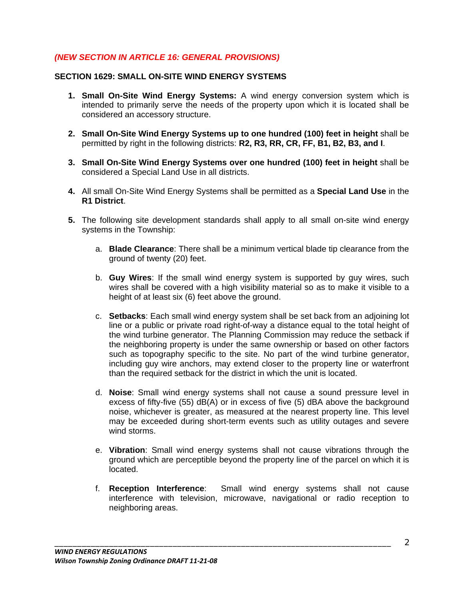# *(NEW SECTION IN ARTICLE 16: GENERAL PROVISIONS)*

### **SECTION 1629: SMALL ON-SITE WIND ENERGY SYSTEMS**

- **1. Small On-Site Wind Energy Systems:** A wind energy conversion system which is intended to primarily serve the needs of the property upon which it is located shall be considered an accessory structure.
- **2. Small On-Site Wind Energy Systems up to one hundred (100) feet in height** shall be permitted by right in the following districts: **R2, R3, RR, CR, FF, B1, B2, B3, and I**.
- **3. Small On-Site Wind Energy Systems over one hundred (100) feet in height** shall be considered a Special Land Use in all districts.
- **4.** All small On-Site Wind Energy Systems shall be permitted as a **Special Land Use** in the **R1 District**.
- **5.** The following site development standards shall apply to all small on-site wind energy systems in the Township:
	- a. **Blade Clearance**: There shall be a minimum vertical blade tip clearance from the ground of twenty (20) feet.
	- b. **Guy Wires**: If the small wind energy system is supported by guy wires, such wires shall be covered with a high visibility material so as to make it visible to a height of at least six (6) feet above the ground.
	- c. **Setbacks**: Each small wind energy system shall be set back from an adjoining lot line or a public or private road right-of-way a distance equal to the total height of the wind turbine generator. The Planning Commission may reduce the setback if the neighboring property is under the same ownership or based on other factors such as topography specific to the site. No part of the wind turbine generator, including guy wire anchors, may extend closer to the property line or waterfront than the required setback for the district in which the unit is located.
	- d. **Noise**: Small wind energy systems shall not cause a sound pressure level in excess of fifty-five (55) dB(A) or in excess of five (5) dBA above the background noise, whichever is greater, as measured at the nearest property line. This level may be exceeded during short-term events such as utility outages and severe wind storms.
	- e. **Vibration**: Small wind energy systems shall not cause vibrations through the ground which are perceptible beyond the property line of the parcel on which it is located.
	- f. **Reception Interference**: Small wind energy systems shall not cause interference with television, microwave, navigational or radio reception to neighboring areas.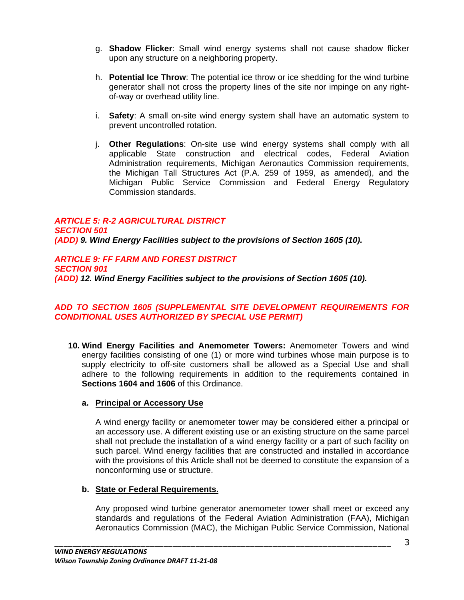- g. **Shadow Flicker**: Small wind energy systems shall not cause shadow flicker upon any structure on a neighboring property.
- h. **Potential Ice Throw**: The potential ice throw or ice shedding for the wind turbine generator shall not cross the property lines of the site nor impinge on any rightof-way or overhead utility line.
- i. **Safety**: A small on-site wind energy system shall have an automatic system to prevent uncontrolled rotation.
- j. **Other Regulations**: On-site use wind energy systems shall comply with all applicable State construction and electrical codes, Federal Aviation Administration requirements, Michigan Aeronautics Commission requirements, the Michigan Tall Structures Act (P.A. 259 of 1959, as amended), and the Michigan Public Service Commission and Federal Energy Regulatory Commission standards.

#### *ARTICLE 5: R-2 AGRICULTURAL DISTRICT SECTION 501 (ADD) 9. Wind Energy Facilities subject to the provisions of Section 1605 (10).*

*ARTICLE 9: FF FARM AND FOREST DISTRICT SECTION 901 (ADD) 12. Wind Energy Facilities subject to the provisions of Section 1605 (10).* 

### *ADD TO SECTION 1605 (SUPPLEMENTAL SITE DEVELOPMENT REQUIREMENTS FOR CONDITIONAL USES AUTHORIZED BY SPECIAL USE PERMIT)*

**10. Wind Energy Facilities and Anemometer Towers:** Anemometer Towers and wind energy facilities consisting of one (1) or more wind turbines whose main purpose is to supply electricity to off-site customers shall be allowed as a Special Use and shall adhere to the following requirements in addition to the requirements contained in **Sections 1604 and 1606** of this Ordinance.

# **a. Principal or Accessory Use**

A wind energy facility or anemometer tower may be considered either a principal or an accessory use. A different existing use or an existing structure on the same parcel shall not preclude the installation of a wind energy facility or a part of such facility on such parcel. Wind energy facilities that are constructed and installed in accordance with the provisions of this Article shall not be deemed to constitute the expansion of a nonconforming use or structure.

# **b. State or Federal Requirements.**

Any proposed wind turbine generator anemometer tower shall meet or exceed any standards and regulations of the Federal Aviation Administration (FAA), Michigan Aeronautics Commission (MAC), the Michigan Public Service Commission, National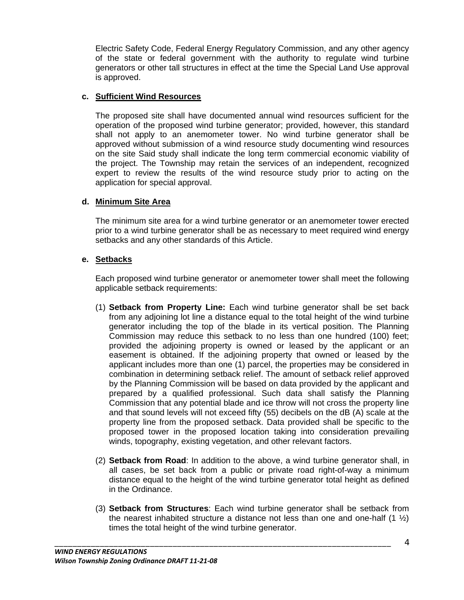Electric Safety Code, Federal Energy Regulatory Commission, and any other agency of the state or federal government with the authority to regulate wind turbine generators or other tall structures in effect at the time the Special Land Use approval is approved.

#### **c. Sufficient Wind Resources**

The proposed site shall have documented annual wind resources sufficient for the operation of the proposed wind turbine generator; provided, however, this standard shall not apply to an anemometer tower. No wind turbine generator shall be approved without submission of a wind resource study documenting wind resources on the site Said study shall indicate the long term commercial economic viability of the project. The Township may retain the services of an independent, recognized expert to review the results of the wind resource study prior to acting on the application for special approval.

#### **d. Minimum Site Area**

The minimum site area for a wind turbine generator or an anemometer tower erected prior to a wind turbine generator shall be as necessary to meet required wind energy setbacks and any other standards of this Article.

#### **e. Setbacks**

Each proposed wind turbine generator or anemometer tower shall meet the following applicable setback requirements:

- (1) **Setback from Property Line:** Each wind turbine generator shall be set back from any adjoining lot line a distance equal to the total height of the wind turbine generator including the top of the blade in its vertical position. The Planning Commission may reduce this setback to no less than one hundred (100) feet; provided the adjoining property is owned or leased by the applicant or an easement is obtained. If the adjoining property that owned or leased by the applicant includes more than one (1) parcel, the properties may be considered in combination in determining setback relief. The amount of setback relief approved by the Planning Commission will be based on data provided by the applicant and prepared by a qualified professional. Such data shall satisfy the Planning Commission that any potential blade and ice throw will not cross the property line and that sound levels will not exceed fifty (55) decibels on the dB (A) scale at the property line from the proposed setback. Data provided shall be specific to the proposed tower in the proposed location taking into consideration prevailing winds, topography, existing vegetation, and other relevant factors.
- (2) **Setback from Road**: In addition to the above, a wind turbine generator shall, in all cases, be set back from a public or private road right-of-way a minimum distance equal to the height of the wind turbine generator total height as defined in the Ordinance.
- (3) **Setback from Structures**: Each wind turbine generator shall be setback from the nearest inhabited structure a distance not less than one and one-half  $(1 \frac{1}{2})$ times the total height of the wind turbine generator.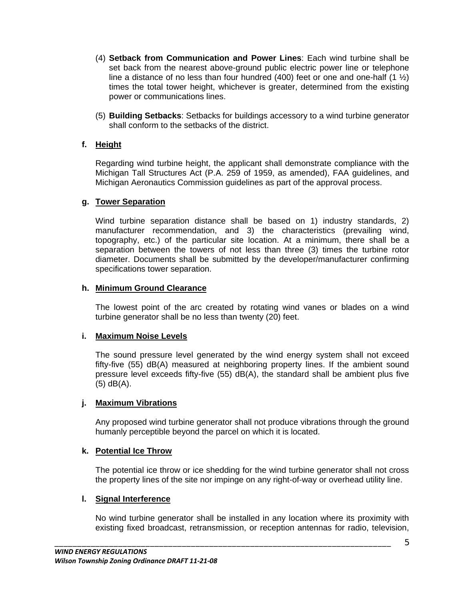- (4) **Setback from Communication and Power Lines**: Each wind turbine shall be set back from the nearest above-ground public electric power line or telephone line a distance of no less than four hundred (400) feet or one and one-half (1  $\frac{1}{2}$ ) times the total tower height, whichever is greater, determined from the existing power or communications lines.
- (5) **Building Setbacks**: Setbacks for buildings accessory to a wind turbine generator shall conform to the setbacks of the district.

### **f. Height**

Regarding wind turbine height, the applicant shall demonstrate compliance with the Michigan Tall Structures Act (P.A. 259 of 1959, as amended), FAA guidelines, and Michigan Aeronautics Commission guidelines as part of the approval process.

#### **g. Tower Separation**

Wind turbine separation distance shall be based on 1) industry standards, 2) manufacturer recommendation, and 3) the characteristics (prevailing wind, topography, etc.) of the particular site location. At a minimum, there shall be a separation between the towers of not less than three (3) times the turbine rotor diameter. Documents shall be submitted by the developer/manufacturer confirming specifications tower separation.

#### **h. Minimum Ground Clearance**

The lowest point of the arc created by rotating wind vanes or blades on a wind turbine generator shall be no less than twenty (20) feet.

#### **i. Maximum Noise Levels**

The sound pressure level generated by the wind energy system shall not exceed fifty-five (55) dB(A) measured at neighboring property lines. If the ambient sound pressure level exceeds fifty-five (55) dB(A), the standard shall be ambient plus five (5) dB(A).

#### **j. Maximum Vibrations**

Any proposed wind turbine generator shall not produce vibrations through the ground humanly perceptible beyond the parcel on which it is located.

#### **k. Potential Ice Throw**

The potential ice throw or ice shedding for the wind turbine generator shall not cross the property lines of the site nor impinge on any right-of-way or overhead utility line.

#### **l. Signal Interference**

No wind turbine generator shall be installed in any location where its proximity with existing fixed broadcast, retransmission, or reception antennas for radio, television,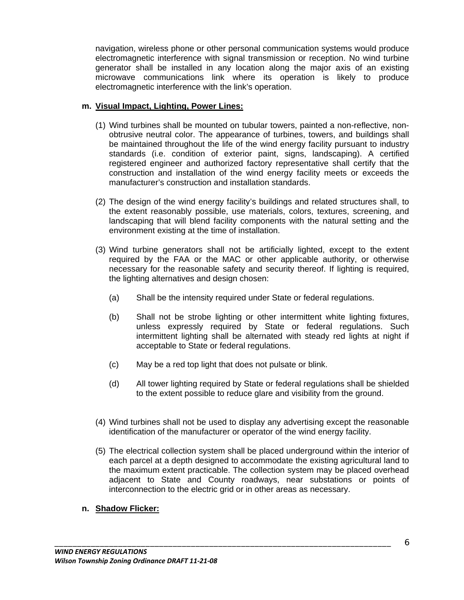navigation, wireless phone or other personal communication systems would produce electromagnetic interference with signal transmission or reception. No wind turbine generator shall be installed in any location along the major axis of an existing microwave communications link where its operation is likely to produce electromagnetic interference with the link's operation.

### **m. Visual Impact, Lighting, Power Lines:**

- (1) Wind turbines shall be mounted on tubular towers, painted a non-reflective, nonobtrusive neutral color. The appearance of turbines, towers, and buildings shall be maintained throughout the life of the wind energy facility pursuant to industry standards (i.e. condition of exterior paint, signs, landscaping). A certified registered engineer and authorized factory representative shall certify that the construction and installation of the wind energy facility meets or exceeds the manufacturer's construction and installation standards.
- (2) The design of the wind energy facility's buildings and related structures shall, to the extent reasonably possible, use materials, colors, textures, screening, and landscaping that will blend facility components with the natural setting and the environment existing at the time of installation.
- (3) Wind turbine generators shall not be artificially lighted, except to the extent required by the FAA or the MAC or other applicable authority, or otherwise necessary for the reasonable safety and security thereof. If lighting is required, the lighting alternatives and design chosen:
	- (a) Shall be the intensity required under State or federal regulations.
	- (b) Shall not be strobe lighting or other intermittent white lighting fixtures, unless expressly required by State or federal regulations. Such intermittent lighting shall be alternated with steady red lights at night if acceptable to State or federal regulations.
	- (c) May be a red top light that does not pulsate or blink.

\_\_\_\_\_\_\_\_\_\_\_\_\_\_\_\_\_\_\_\_\_\_\_\_\_\_\_\_\_\_\_\_\_\_\_\_\_\_\_\_\_\_\_\_\_\_\_\_\_\_\_\_\_\_\_\_\_\_\_\_\_\_\_\_\_\_\_\_\_\_\_\_\_\_

- (d) All tower lighting required by State or federal regulations shall be shielded to the extent possible to reduce glare and visibility from the ground.
- (4) Wind turbines shall not be used to display any advertising except the reasonable identification of the manufacturer or operator of the wind energy facility.
- (5) The electrical collection system shall be placed underground within the interior of each parcel at a depth designed to accommodate the existing agricultural land to the maximum extent practicable. The collection system may be placed overhead adjacent to State and County roadways, near substations or points of interconnection to the electric grid or in other areas as necessary.

#### **n. Shadow Flicker:**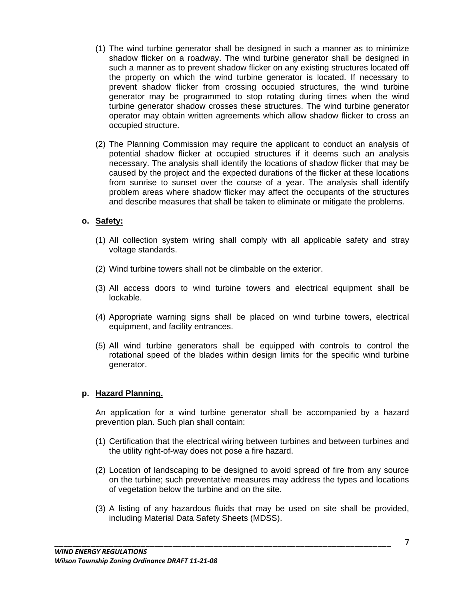- (1) The wind turbine generator shall be designed in such a manner as to minimize shadow flicker on a roadway. The wind turbine generator shall be designed in such a manner as to prevent shadow flicker on any existing structures located off the property on which the wind turbine generator is located. If necessary to prevent shadow flicker from crossing occupied structures, the wind turbine generator may be programmed to stop rotating during times when the wind turbine generator shadow crosses these structures. The wind turbine generator operator may obtain written agreements which allow shadow flicker to cross an occupied structure.
- (2) The Planning Commission may require the applicant to conduct an analysis of potential shadow flicker at occupied structures if it deems such an analysis necessary. The analysis shall identify the locations of shadow flicker that may be caused by the project and the expected durations of the flicker at these locations from sunrise to sunset over the course of a year. The analysis shall identify problem areas where shadow flicker may affect the occupants of the structures and describe measures that shall be taken to eliminate or mitigate the problems.

#### **o. Safety:**

- (1) All collection system wiring shall comply with all applicable safety and stray voltage standards.
- (2) Wind turbine towers shall not be climbable on the exterior.
- (3) All access doors to wind turbine towers and electrical equipment shall be lockable.
- (4) Appropriate warning signs shall be placed on wind turbine towers, electrical equipment, and facility entrances.
- (5) All wind turbine generators shall be equipped with controls to control the rotational speed of the blades within design limits for the specific wind turbine generator.

#### **p. Hazard Planning.**

An application for a wind turbine generator shall be accompanied by a hazard prevention plan. Such plan shall contain:

- (1) Certification that the electrical wiring between turbines and between turbines and the utility right-of-way does not pose a fire hazard.
- (2) Location of landscaping to be designed to avoid spread of fire from any source on the turbine; such preventative measures may address the types and locations of vegetation below the turbine and on the site.
- (3) A listing of any hazardous fluids that may be used on site shall be provided, including Material Data Safety Sheets (MDSS).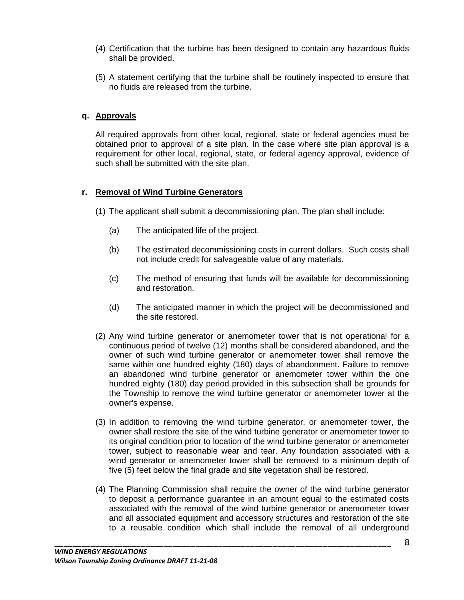- (4) Certification that the turbine has been designed to contain any hazardous fluids shall be provided.
- (5) A statement certifying that the turbine shall be routinely inspected to ensure that no fluids are released from the turbine.

## **q. Approvals**

All required approvals from other local, regional, state or federal agencies must be obtained prior to approval of a site plan. In the case where site plan approval is a requirement for other local, regional, state, or federal agency approval, evidence of such shall be submitted with the site plan.

### **r. Removal of Wind Turbine Generators**

- (1) The applicant shall submit a decommissioning plan. The plan shall include:
	- (a) The anticipated life of the project.
	- (b) The estimated decommissioning costs in current dollars. Such costs shall not include credit for salvageable value of any materials.
	- (c) The method of ensuring that funds will be available for decommissioning and restoration.
	- (d) The anticipated manner in which the project will be decommissioned and the site restored.
- (2) Any wind turbine generator or anemometer tower that is not operational for a continuous period of twelve (12) months shall be considered abandoned, and the owner of such wind turbine generator or anemometer tower shall remove the same within one hundred eighty (180) days of abandonment. Failure to remove an abandoned wind turbine generator or anemometer tower within the one hundred eighty (180) day period provided in this subsection shall be grounds for the Township to remove the wind turbine generator or anemometer tower at the owner's expense.
- (3) In addition to removing the wind turbine generator, or anemometer tower, the owner shall restore the site of the wind turbine generator or anemometer tower to its original condition prior to location of the wind turbine generator or anemometer tower, subject to reasonable wear and tear. Any foundation associated with a wind generator or anemometer tower shall be removed to a minimum depth of five (5) feet below the final grade and site vegetation shall be restored.
- (4) The Planning Commission shall require the owner of the wind turbine generator to deposit a performance guarantee in an amount equal to the estimated costs associated with the removal of the wind turbine generator or anemometer tower and all associated equipment and accessory structures and restoration of the site to a reusable condition which shall include the removal of all underground